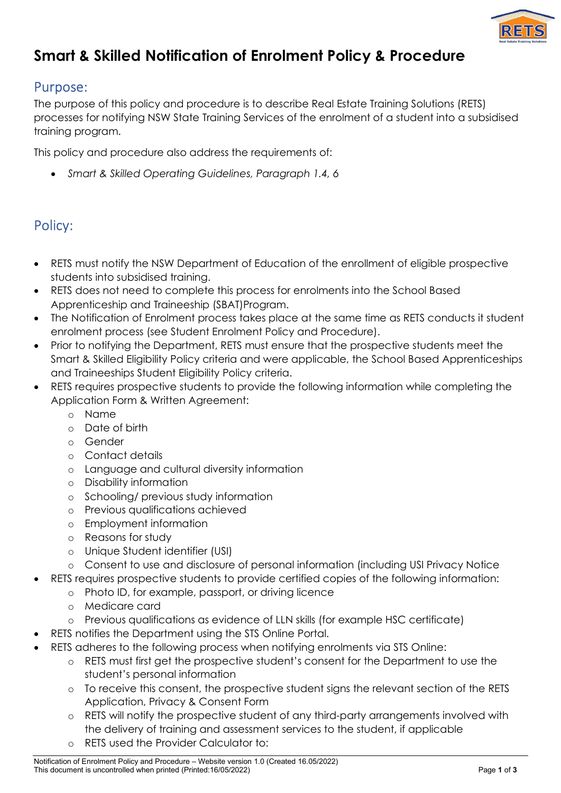

## Smart & Skilled Notification of Enrolment Policy & Procedure

## Purpose:

The purpose of this policy and procedure is to describe Real Estate Training Solutions (RETS) processes for notifying NSW State Training Services of the enrolment of a student into a subsidised training program.

This policy and procedure also address the requirements of:

Smart & Skilled Operating Guidelines, Paragraph 1.4, 6

## Policy:

- RETS must notify the NSW Department of Education of the enrollment of eligible prospective students into subsidised training.
- RETS does not need to complete this process for enrolments into the School Based Apprenticeship and Traineeship (SBAT)Program.
- The Notification of Enrolment process takes place at the same time as RETS conducts it student enrolment process (see Student Enrolment Policy and Procedure).
- Prior to notifying the Department, RETS must ensure that the prospective students meet the Smart & Skilled Eligibility Policy criteria and were applicable, the School Based Apprenticeships and Traineeships Student Eligibility Policy criteria.
- RETS requires prospective students to provide the following information while completing the Application Form & Written Agreement:
	- o Name
	- o Date of birth
	- o Gender
	- o Contact details
	- o Language and cultural diversity information
	- o Disability information
	- o Schooling/ previous study information
	- o Previous qualifications achieved
	- o Employment information
	- o Reasons for study
	- o Unique Student identifier (USI)
	- o Consent to use and disclosure of personal information (including USI Privacy Notice
- RETS requires prospective students to provide certified copies of the following information:
	- o Photo ID, for example, passport, or driving licence
	- o Medicare card
	- o Previous qualifications as evidence of LLN skills (for example HSC certificate)
- RETS notifies the Department using the STS Online Portal.
- RETS adheres to the following process when notifying enrolments via STS Online:
	- o RETS must first get the prospective student's consent for the Department to use the student's personal information
	- o To receive this consent, the prospective student signs the relevant section of the RETS Application, Privacy & Consent Form
	- o RETS will notify the prospective student of any third-party arrangements involved with the delivery of training and assessment services to the student, if applicable
	- o RETS used the Provider Calculator to: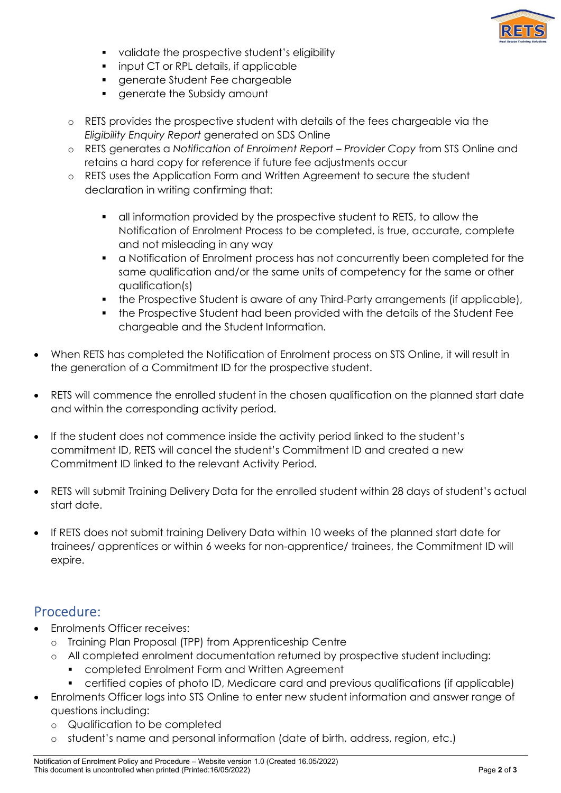

- validate the prospective student's eligibility
- input CT or RPL details, if applicable
- generate Student Fee chargeable
- **Example 2** a generate the Subsidy amount
- o RETS provides the prospective student with details of the fees chargeable via the Eligibility Enquiry Report generated on SDS Online
- o RETS generates a Notification of Enrolment Report Provider Copy from STS Online and retains a hard copy for reference if future fee adjustments occur
- o RETS uses the Application Form and Written Agreement to secure the student declaration in writing confirming that:
	- all information provided by the prospective student to RETS, to allow the Notification of Enrolment Process to be completed, is true, accurate, complete and not misleading in any way
	- a Notification of Enrolment process has not concurrently been completed for the same qualification and/or the same units of competency for the same or other qualification(s)
	- the Prospective Student is aware of any Third-Party arrangements (if applicable),
	- the Prospective Student had been provided with the details of the Student Fee chargeable and the Student Information.
- When RETS has completed the Notification of Enrolment process on STS Online, it will result in the generation of a Commitment ID for the prospective student.
- RETS will commence the enrolled student in the chosen qualification on the planned start date and within the corresponding activity period.
- If the student does not commence inside the activity period linked to the student's commitment ID, RETS will cancel the student's Commitment ID and created a new Commitment ID linked to the relevant Activity Period.
- RETS will submit Training Delivery Data for the enrolled student within 28 days of student's actual start date.
- If RETS does not submit training Delivery Data within 10 weeks of the planned start date for trainees/ apprentices or within 6 weeks for non-apprentice/ trainees, the Commitment ID will expire.

## Procedure:

- Enrolments Officer receives:
	- o Training Plan Proposal (TPP) from Apprenticeship Centre
	- o All completed enrolment documentation returned by prospective student including:
		- completed Enrolment Form and Written Agreement
		- certified copies of photo ID, Medicare card and previous qualifications (if applicable)
- Enrolments Officer logs into STS Online to enter new student information and answer range of questions including:
	- o Qualification to be completed
	- o student's name and personal information (date of birth, address, region, etc.)